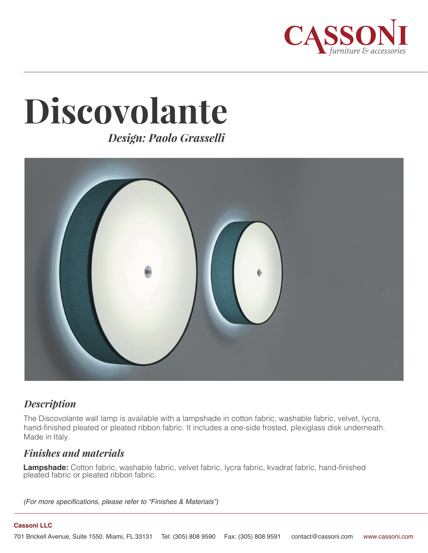

# **Discovolante**

*Design: Paolo Grasselli*



# *Description*

The Discovolante wall lamp is available with a lampshade in cotton fabric, washable fabric, velvet, lycra, hand-finished pleated or pleated ribbon fabric. It includes a one-side frosted, plexiglass disk underneath. Made in Italy.

## *Finishes and materials*

**Lampshade:** Cotton fabric, washable fabric, velvet fabric, lycra fabric, kvadrat fabric, hand-finished pleated fabric or pleated ribbon fabric.

*(For more specifications, please refer to "Finishes & Materials")*

#### **Cassoni LLC**